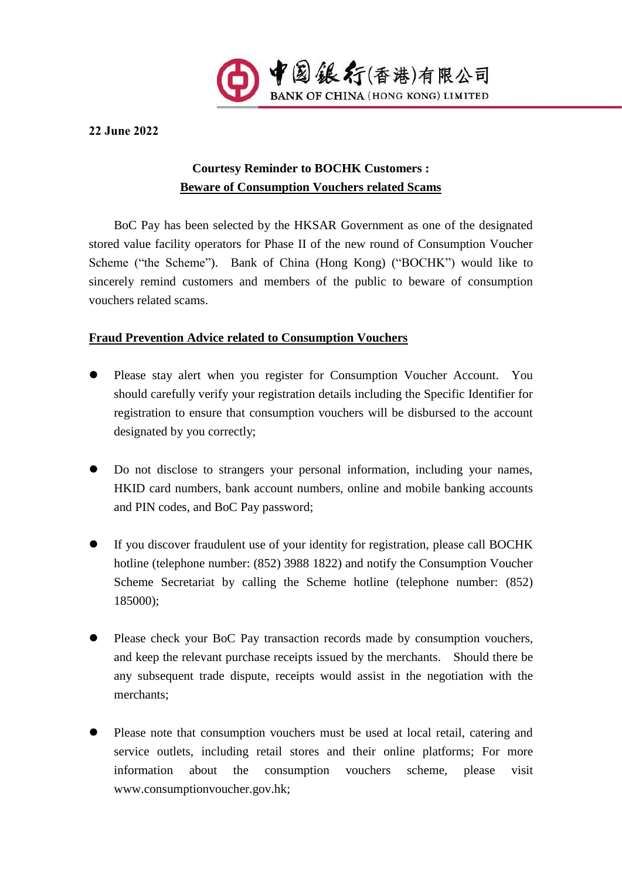

**22 June 2022**

## **Courtesy Reminder to BOCHK Customers : Beware of Consumption Vouchers related Scams**

BoC Pay has been selected by the HKSAR Government as one of the designated stored value facility operators for Phase II of the new round of Consumption Voucher Scheme ("the Scheme"). Bank of China (Hong Kong) ("BOCHK") would like to sincerely remind customers and members of the public to beware of consumption vouchers related scams.

## **Fraud Prevention Advice related to Consumption Vouchers**

- ⚫ Please stay alert when you register for Consumption Voucher Account. You should carefully verify your registration details including the Specific Identifier for registration to ensure that consumption vouchers will be disbursed to the account designated by you correctly;
- ⚫ Do not disclose to strangers your personal information, including your names, HKID card numbers, bank account numbers, online and mobile banking accounts and PIN codes, and BoC Pay password;
- ⚫ If you discover fraudulent use of your identity for registration, please call BOCHK hotline (telephone number: (852) 3988 1822) and notify the Consumption Voucher Scheme Secretariat by calling the Scheme hotline (telephone number: (852) 185000);
- ⚫ Please check your BoC Pay transaction records made by consumption vouchers, and keep the relevant purchase receipts issued by the merchants. Should there be any subsequent trade dispute, receipts would assist in the negotiation with the merchants;
- ⚫ Please note that consumption vouchers must be used at local retail, catering and service outlets, including retail stores and their online platforms; For more information about the consumption vouchers scheme, please visit www.consumptionvoucher.gov.hk;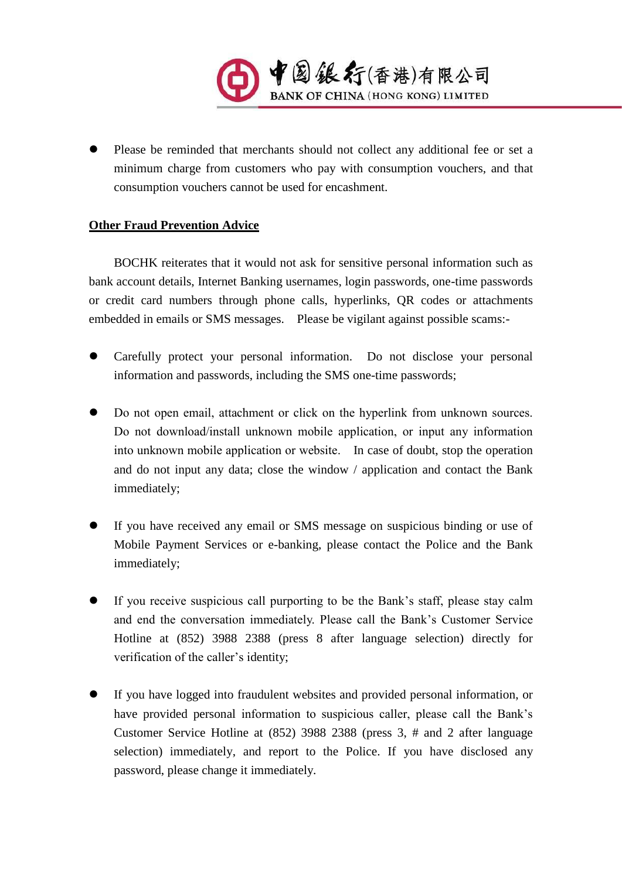

Please be reminded that merchants should not collect any additional fee or set a minimum charge from customers who pay with consumption vouchers, and that consumption vouchers cannot be used for encashment.

## **Other Fraud Prevention Advice**

BOCHK reiterates that it would not ask for sensitive personal information such as bank account details, Internet Banking usernames, login passwords, one-time passwords or credit card numbers through phone calls, hyperlinks, QR codes or attachments embedded in emails or SMS messages. Please be vigilant against possible scams:-

- ⚫ Carefully protect your personal information. Do not disclose your personal information and passwords, including the SMS one-time passwords;
- ⚫ Do not open email, attachment or click on the hyperlink from unknown sources. Do not download/install unknown mobile application, or input any information into unknown mobile application or website. In case of doubt, stop the operation and do not input any data; close the window / application and contact the Bank immediately;
- ⚫ If you have received any email or SMS message on suspicious binding or use of Mobile Payment Services or e-banking, please contact the Police and the Bank immediately;
- ⚫ If you receive suspicious call purporting to be the Bank's staff, please stay calm and end the conversation immediately. Please call the Bank's Customer Service Hotline at (852) 3988 2388 (press 8 after language selection) directly for verification of the caller's identity;
- ⚫ If you have logged into fraudulent websites and provided personal information, or have provided personal information to suspicious caller, please call the Bank's Customer Service Hotline at (852) 3988 2388 (press 3, # and 2 after language selection) immediately, and report to the Police. If you have disclosed any password, please change it immediately.